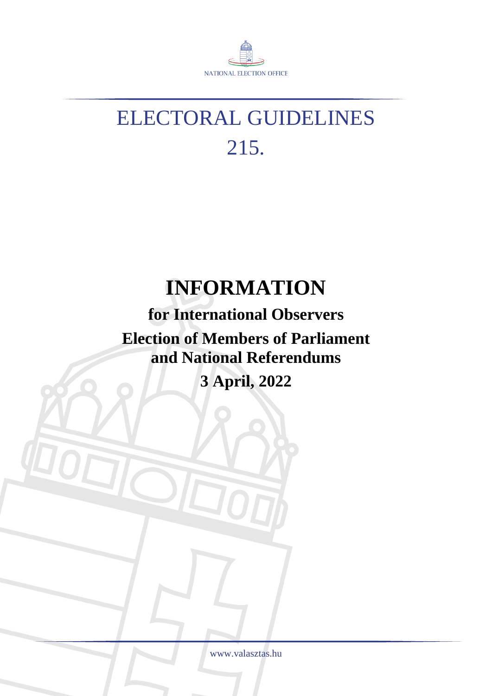

# ELECTORAL GUIDELINES 215.

# **INFORMATION**

## **for International Observers Election of Members of Parliament and National Referendums**

**3 April, 2022**

www.valasztas.hu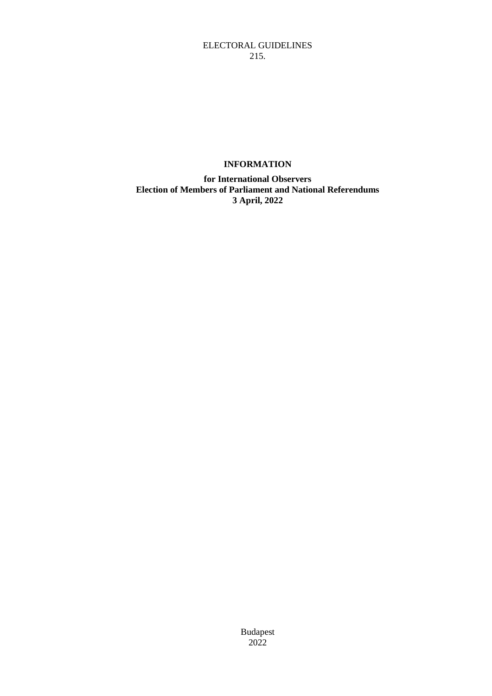#### ELECTORAL GUIDELINES 215.

## **INFORMATION**

**for International Observers Election of Members of Parliament and National Referendums 3 April, 2022**

> Budapest 2022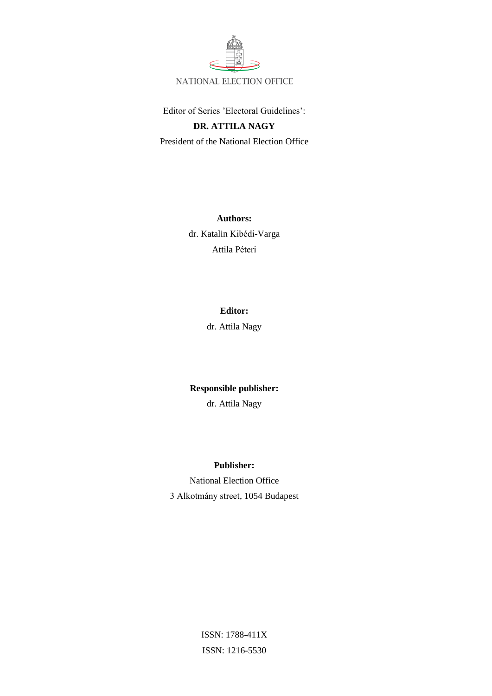

Editor of Series 'Electoral Guidelines':

## **DR. ATTILA NAGY**

President of the National Election Office

**Authors:** dr. Katalin Kibédi-Varga Attila Péteri

### **Editor:**

dr. Attila Nagy

## **Responsible publisher:**

dr. Attila Nagy

#### **Publisher:**

National Election Office 3 Alkotmány street, 1054 Budapest

> ISSN: 1788-411X ISSN: 1216-5530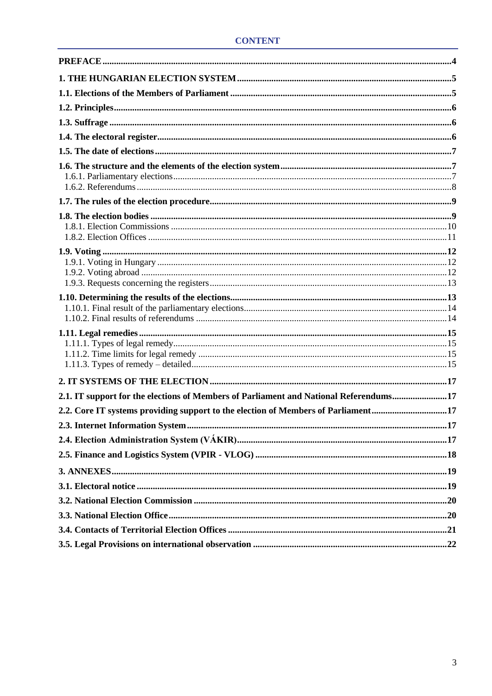| 2.1. IT support for the elections of Members of Parliament and National Referendums17 |  |
|---------------------------------------------------------------------------------------|--|
| 2.2. Core IT systems providing support to the election of Members of Parliament17     |  |
|                                                                                       |  |
|                                                                                       |  |
|                                                                                       |  |
|                                                                                       |  |
|                                                                                       |  |
|                                                                                       |  |
|                                                                                       |  |
|                                                                                       |  |
|                                                                                       |  |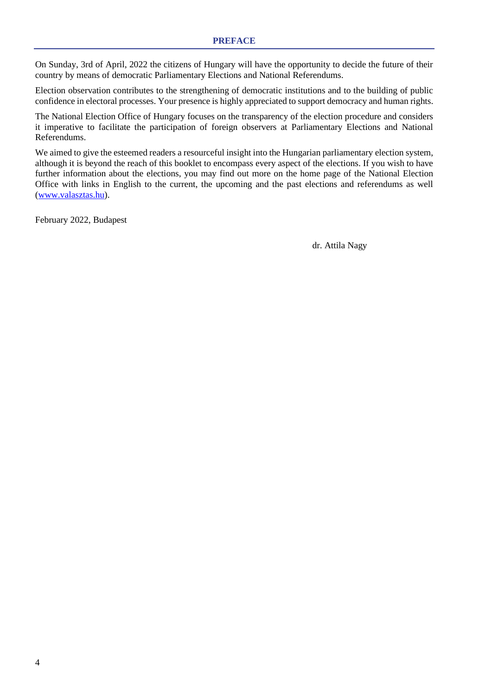<span id="page-5-0"></span>On Sunday, 3rd of April, 2022 the citizens of Hungary will have the opportunity to decide the future of their country by means of democratic Parliamentary Elections and National Referendums.

Election observation contributes to the strengthening of democratic institutions and to the building of public confidence in electoral processes. Your presence is highly appreciated to support democracy and human rights.

The National Election Office of Hungary focuses on the transparency of the election procedure and considers it imperative to facilitate the participation of foreign observers at Parliamentary Elections and National Referendums.

We aimed to give the esteemed readers a resourceful insight into the Hungarian parliamentary election system, although it is beyond the reach of this booklet to encompass every aspect of the elections. If you wish to have further information about the elections, you may find out more on the home page of the National Election Office with links in English to the current, the upcoming and the past elections and referendums as well [\(www.valasztas.hu\)](http://www.valasztas.hu/).

February 2022, Budapest

dr. Attila Nagy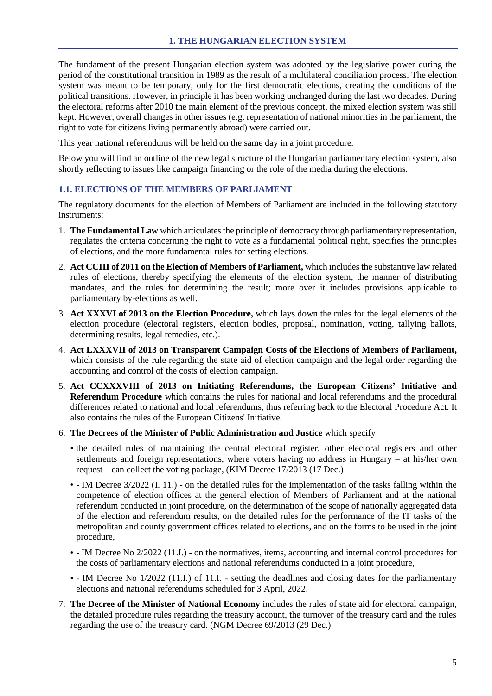<span id="page-6-0"></span>The fundament of the present Hungarian election system was adopted by the legislative power during the period of the constitutional transition in 1989 as the result of a multilateral conciliation process. The election system was meant to be temporary, only for the first democratic elections, creating the conditions of the political transitions. However, in principle it has been working unchanged during the last two decades. During the electoral reforms after 2010 the main element of the previous concept, the mixed election system was still kept. However, overall changes in other issues (e.g. representation of national minorities in the parliament, the right to vote for citizens living permanently abroad) were carried out.

This year national referendums will be held on the same day in a joint procedure.

Below you will find an outline of the new legal structure of the Hungarian parliamentary election system, also shortly reflecting to issues like campaign financing or the role of the media during the elections.

#### <span id="page-6-1"></span>**1.1. ELECTIONS OF THE MEMBERS OF PARLIAMENT**

The regulatory documents for the election of Members of Parliament are included in the following statutory instruments:

- 1. The Fundamental Law which articulates the principle of democracy through parliamentary representation, regulates the criteria concerning the right to vote as a fundamental political right, specifies the principles of elections, and the more fundamental rules for setting elections.
- 2. **Act CCIII of 2011 on the Election of Members of Parliament,** which includes the substantive law related rules of elections, thereby specifying the elements of the election system, the manner of distributing mandates, and the rules for determining the result; more over it includes provisions applicable to parliamentary by-elections as well.
- 3. **Act XXXVI of 2013 on the Election Procedure,** which lays down the rules for the legal elements of the election procedure (electoral registers, election bodies, proposal, nomination, voting, tallying ballots, determining results, legal remedies, etc.).
- 4. **Act LXXXVII of 2013 on Transparent Campaign Costs of the Elections of Members of Parliament,** which consists of the rule regarding the state aid of election campaign and the legal order regarding the accounting and control of the costs of election campaign.
- 5. **Act CCXXXVIII of 2013 on Initiating Referendums, the European Citizens' Initiative and Referendum Procedure** which contains the rules for national and local referendums and the procedural differences related to national and local referendums, thus referring back to the Electoral Procedure Act. It also contains the rules of the European Citizens' Initiative.
- 6. **The Decrees of the Minister of Public Administration and Justice** which specify
	- the detailed rules of maintaining the central electoral register, other electoral registers and other settlements and foreign representations, where voters having no address in Hungary – at his/her own request – can collect the voting package, (KIM Decree 17/2013 (17 Dec.)
	- - IM Decree 3/2022 (I. 11.) on the detailed rules for the implementation of the tasks falling within the competence of election offices at the general election of Members of Parliament and at the national referendum conducted in joint procedure, on the determination of the scope of nationally aggregated data of the election and referendum results, on the detailed rules for the performance of the IT tasks of the metropolitan and county government offices related to elections, and on the forms to be used in the joint procedure,
	- - IM Decree No 2/2022 (11.I.) on the normatives, items, accounting and internal control procedures for the costs of parliamentary elections and national referendums conducted in a joint procedure,
	- - IM Decree No 1/2022 (11.I.) of 11.I. setting the deadlines and closing dates for the parliamentary elections and national referendums scheduled for 3 April, 2022.
- 7. **The Decree of the Minister of National Economy** includes the rules of state aid for electoral campaign, the detailed procedure rules regarding the treasury account, the turnover of the treasury card and the rules regarding the use of the treasury card. (NGM Decree 69/2013 (29 Dec.)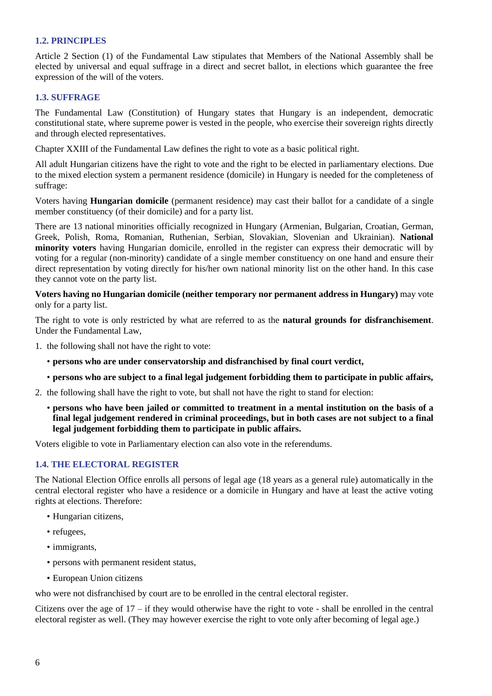## <span id="page-7-0"></span>**1.2. PRINCIPLES**

Article 2 Section (1) of the Fundamental Law stipulates that Members of the National Assembly shall be elected by universal and equal suffrage in a direct and secret ballot, in elections which guarantee the free expression of the will of the voters.

#### <span id="page-7-1"></span>**1.3. SUFFRAGE**

The Fundamental Law (Constitution) of Hungary states that Hungary is an independent, democratic constitutional state, where supreme power is vested in the people, who exercise their sovereign rights directly and through elected representatives.

Chapter XXIII of the Fundamental Law defines the right to vote as a basic political right.

All adult Hungarian citizens have the right to vote and the right to be elected in parliamentary elections. Due to the mixed election system a permanent residence (domicile) in Hungary is needed for the completeness of suffrage:

Voters having **Hungarian domicile** (permanent residence) may cast their ballot for a candidate of a single member constituency (of their domicile) and for a party list.

There are 13 national minorities officially recognized in Hungary (Armenian, Bulgarian, Croatian, German, Greek, Polish, Roma, Romanian, Ruthenian, Serbian, Slovakian, Slovenian and Ukrainian). **National minority voters** having Hungarian domicile, enrolled in the register can express their democratic will by voting for a regular (non-minority) candidate of a single member constituency on one hand and ensure their direct representation by voting directly for his/her own national minority list on the other hand. In this case they cannot vote on the party list.

**Voters having no Hungarian domicile (neither temporary nor permanent address in Hungary)** may vote only for a party list.

The right to vote is only restricted by what are referred to as the **natural grounds for disfranchisement**. Under the Fundamental Law,

1. the following shall not have the right to vote:

- **persons who are under conservatorship and disfranchised by final court verdict,**
- **persons who are subject to a final legal judgement forbidding them to participate in public affairs,**
- 2. the following shall have the right to vote, but shall not have the right to stand for election:
	- **persons who have been jailed or committed to treatment in a mental institution on the basis of a final legal judgement rendered in criminal proceedings, but in both cases are not subject to a final legal judgement forbidding them to participate in public affairs.**

Voters eligible to vote in Parliamentary election can also vote in the referendums.

## <span id="page-7-2"></span>**1.4. THE ELECTORAL REGISTER**

The National Election Office enrolls all persons of legal age (18 years as a general rule) automatically in the central electoral register who have a residence or a domicile in Hungary and have at least the active voting rights at elections. Therefore:

- Hungarian citizens,
- refugees,
- immigrants,
- persons with permanent resident status,
- European Union citizens

who were not disfranchised by court are to be enrolled in the central electoral register.

Citizens over the age of  $17 - if$  they would otherwise have the right to vote - shall be enrolled in the central electoral register as well. (They may however exercise the right to vote only after becoming of legal age.)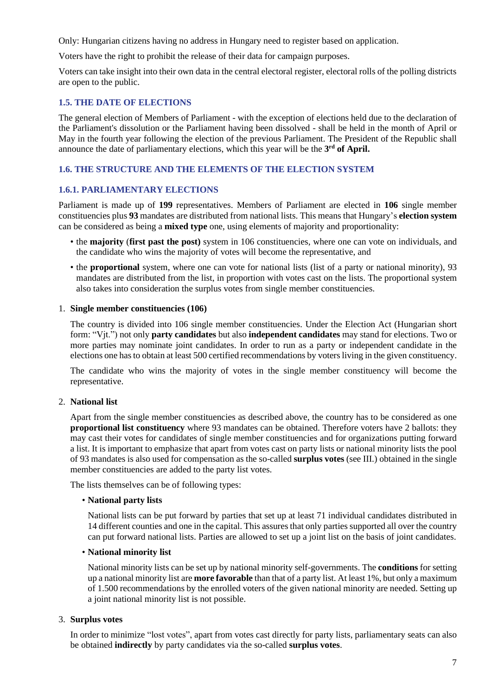Only: Hungarian citizens having no address in Hungary need to register based on application.

Voters have the right to prohibit the release of their data for campaign purposes.

Voters can take insight into their own data in the central electoral register, electoral rolls of the polling districts are open to the public.

#### <span id="page-8-0"></span>**1.5. THE DATE OF ELECTIONS**

The general election of Members of Parliament - with the exception of elections held due to the declaration of the Parliament's dissolution or the Parliament having been dissolved - shall be held in the month of April or May in the fourth year following the election of the previous Parliament. The President of the Republic shall announce the date of parliamentary elections, which this year will be the **3 rd of April.**

#### <span id="page-8-1"></span>**1.6. THE STRUCTURE AND THE ELEMENTS OF THE ELECTION SYSTEM**

#### <span id="page-8-2"></span>**1.6.1. PARLIAMENTARY ELECTIONS**

Parliament is made up of **199** representatives. Members of Parliament are elected in **106** single member constituencies plus **93** mandates are distributed from national lists. This means that Hungary's **election system** can be considered as being a **mixed type** one, using elements of majority and proportionality:

- the **majority** (**first past the post)** system in 106 constituencies, where one can vote on individuals, and the candidate who wins the majority of votes will become the representative, and
- the **proportional** system, where one can vote for national lists (list of a party or national minority), 93 mandates are distributed from the list, in proportion with votes cast on the lists. The proportional system also takes into consideration the surplus votes from single member constituencies.

#### 1. **Single member constituencies (106)**

The country is divided into 106 single member constituencies. Under the Election Act (Hungarian short form: "Vjt.") not only **party candidates** but also **independent candidates** may stand for elections. Two or more parties may nominate joint candidates. In order to run as a party or independent candidate in the elections one has to obtain at least 500 certified recommendations by voters living in the given constituency.

The candidate who wins the majority of votes in the single member constituency will become the representative.

#### 2. **National list**

Apart from the single member constituencies as described above, the country has to be considered as one **proportional list constituency** where 93 mandates can be obtained. Therefore voters have 2 ballots: they may cast their votes for candidates of single member constituencies and for organizations putting forward a list. It is important to emphasize that apart from votes cast on party lists or national minority lists the pool of 93 mandates is also used for compensation as the so-called **surplus votes** (see III.) obtained in the single member constituencies are added to the party list votes.

The lists themselves can be of following types:

#### • **National party lists**

National lists can be put forward by parties that set up at least 71 individual candidates distributed in 14 different counties and one in the capital. This assuresthat only parties supported all over the country can put forward national lists. Parties are allowed to set up a joint list on the basis of joint candidates.

#### • **National minority list**

National minority lists can be set up by national minority self-governments. The **conditions** for setting up a national minority list are **more favorable** than that of a party list. At least 1%, but only a maximum of 1.500 recommendations by the enrolled voters of the given national minority are needed. Setting up a joint national minority list is not possible.

#### 3. **Surplus votes**

In order to minimize "lost votes", apart from votes cast directly for party lists, parliamentary seats can also be obtained **indirectly** by party candidates via the so-called **surplus votes**.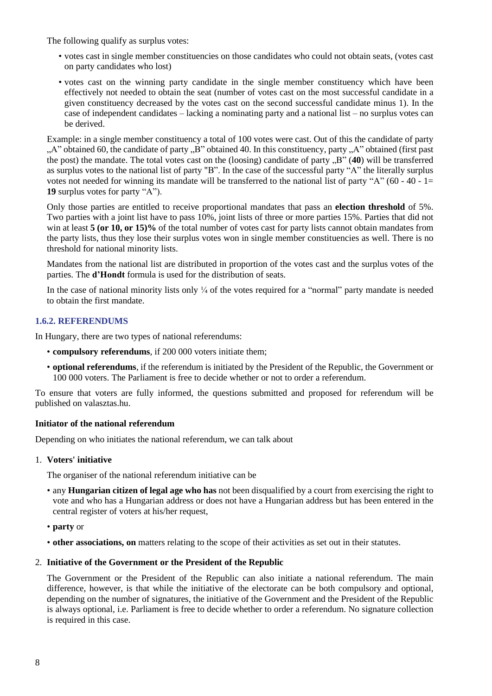The following qualify as surplus votes:

- votes cast in single member constituencies on those candidates who could not obtain seats, (votes cast on party candidates who lost)
- votes cast on the winning party candidate in the single member constituency which have been effectively not needed to obtain the seat (number of votes cast on the most successful candidate in a given constituency decreased by the votes cast on the second successful candidate minus 1). In the case of independent candidates – lacking a nominating party and a national list – no surplus votes can be derived.

Example: in a single member constituency a total of 100 votes were cast. Out of this the candidate of party "A" obtained 60, the candidate of party "B" obtained 40. In this constituency, party "A" obtained (first past the post) the mandate. The total votes cast on the (loosing) candidate of party  $B''(40)$  will be transferred as surplus votes to the national list of party "B". In the case of the successful party "A" the literally surplus votes not needed for winning its mandate will be transferred to the national list of party "A" (60 - 40 - 1= **19** surplus votes for party "A").

Only those parties are entitled to receive proportional mandates that pass an **election threshold** of 5%. Two parties with a joint list have to pass 10%, joint lists of three or more parties 15%. Parties that did not win at least **5 (or 10, or 15)%** of the total number of votes cast for party lists cannot obtain mandates from the party lists, thus they lose their surplus votes won in single member constituencies as well. There is no threshold for national minority lists.

Mandates from the national list are distributed in proportion of the votes cast and the surplus votes of the parties. The **d'Hondt** formula is used for the distribution of seats.

In the case of national minority lists only ¼ of the votes required for a "normal" party mandate is needed to obtain the first mandate.

## <span id="page-9-0"></span>**1.6.2. REFERENDUMS**

In Hungary, there are two types of national referendums:

- **compulsory referendums**, if 200 000 voters initiate them;
- **optional referendums**, if the referendum is initiated by the President of the Republic, the Government or 100 000 voters. The Parliament is free to decide whether or not to order a referendum.

To ensure that voters are fully informed, the questions submitted and proposed for referendum will be published on valasztas.hu.

#### **Initiator of the national referendum**

Depending on who initiates the national referendum, we can talk about

## 1. **Voters' initiative**

The organiser of the national referendum initiative can be

- any **Hungarian citizen of legal age who has** not been disqualified by a court from exercising the right to vote and who has a Hungarian address or does not have a Hungarian address but has been entered in the central register of voters at his/her request,
- **party** or
- **other associations, on** matters relating to the scope of their activities as set out in their statutes.

## 2. **Initiative of the Government or the President of the Republic**

The Government or the President of the Republic can also initiate a national referendum. The main difference, however, is that while the initiative of the electorate can be both compulsory and optional, depending on the number of signatures, the initiative of the Government and the President of the Republic is always optional, i.e. Parliament is free to decide whether to order a referendum. No signature collection is required in this case.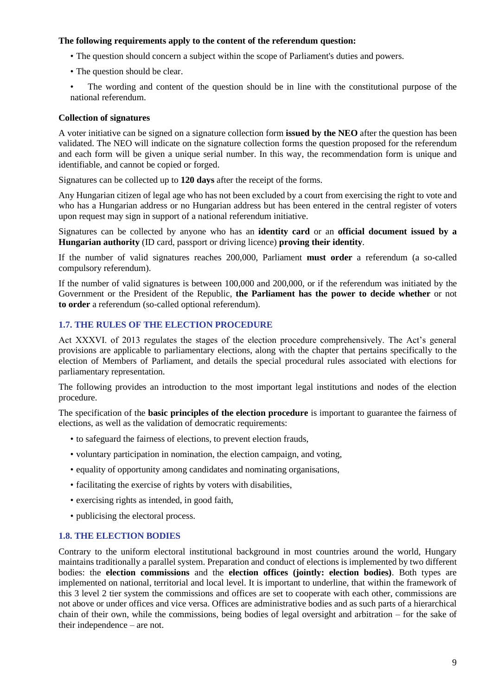#### **The following requirements apply to the content of the referendum question:**

- The question should concern a subject within the scope of Parliament's duties and powers.
- The question should be clear.
- The wording and content of the question should be in line with the constitutional purpose of the national referendum.

#### **Collection of signatures**

A voter initiative can be signed on a signature collection form **issued by the NEO** after the question has been validated. The NEO will indicate on the signature collection forms the question proposed for the referendum and each form will be given a unique serial number. In this way, the recommendation form is unique and identifiable, and cannot be copied or forged.

Signatures can be collected up to **120 days** after the receipt of the forms.

Any Hungarian citizen of legal age who has not been excluded by a court from exercising the right to vote and who has a Hungarian address or no Hungarian address but has been entered in the central register of voters upon request may sign in support of a national referendum initiative.

Signatures can be collected by anyone who has an **identity card** or an **official document issued by a Hungarian authority** (ID card, passport or driving licence) **proving their identity**.

If the number of valid signatures reaches 200,000, Parliament **must order** a referendum (a so-called compulsory referendum).

If the number of valid signatures is between 100,000 and 200,000, or if the referendum was initiated by the Government or the President of the Republic, **the Parliament has the power to decide whether** or not **to order** a referendum (so-called optional referendum).

## <span id="page-10-0"></span>**1.7. THE RULES OF THE ELECTION PROCEDURE**

Act XXXVI. of 2013 regulates the stages of the election procedure comprehensively. The Act's general provisions are applicable to parliamentary elections, along with the chapter that pertains specifically to the election of Members of Parliament, and details the special procedural rules associated with elections for parliamentary representation.

The following provides an introduction to the most important legal institutions and nodes of the election procedure.

The specification of the **basic principles of the election procedure** is important to guarantee the fairness of elections, as well as the validation of democratic requirements:

- to safeguard the fairness of elections, to prevent election frauds,
- voluntary participation in nomination, the election campaign, and voting,
- equality of opportunity among candidates and nominating organisations,
- facilitating the exercise of rights by voters with disabilities,
- exercising rights as intended, in good faith,
- publicising the electoral process.

#### <span id="page-10-1"></span>**1.8. THE ELECTION BODIES**

Contrary to the uniform electoral institutional background in most countries around the world, Hungary maintains traditionally a parallel system. Preparation and conduct of elections is implemented by two different bodies: the **election commissions** and the **election offices (jointly: election bodies)**. Both types are implemented on national, territorial and local level. It is important to underline, that within the framework of this 3 level 2 tier system the commissions and offices are set to cooperate with each other, commissions are not above or under offices and vice versa. Offices are administrative bodies and as such parts of a hierarchical chain of their own, while the commissions, being bodies of legal oversight and arbitration – for the sake of their independence – are not.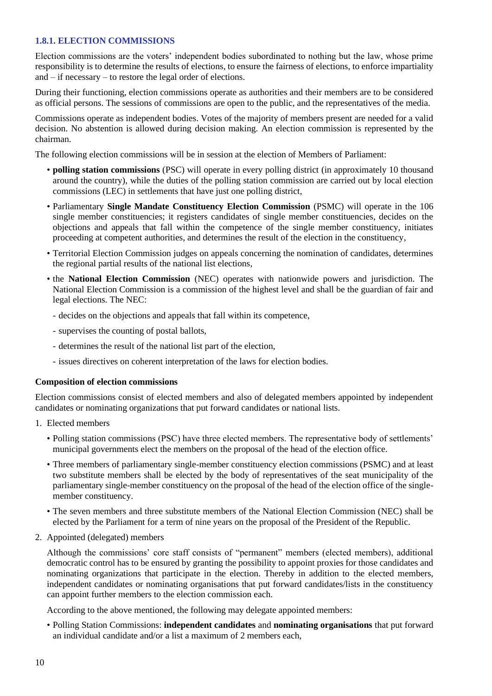## <span id="page-11-0"></span>**1.8.1. ELECTION COMMISSIONS**

Election commissions are the voters' independent bodies subordinated to nothing but the law, whose prime responsibility is to determine the results of elections, to ensure the fairness of elections, to enforce impartiality and – if necessary – to restore the legal order of elections.

During their functioning, election commissions operate as authorities and their members are to be considered as official persons. The sessions of commissions are open to the public, and the representatives of the media.

Commissions operate as independent bodies. Votes of the majority of members present are needed for a valid decision. No abstention is allowed during decision making. An election commission is represented by the chairman.

The following election commissions will be in session at the election of Members of Parliament:

- **polling station commissions** (PSC) will operate in every polling district (in approximately 10 thousand around the country), while the duties of the polling station commission are carried out by local election commissions (LEC) in settlements that have just one polling district,
- Parliamentary **Single Mandate Constituency Election Commission** (PSMC) will operate in the 106 single member constituencies; it registers candidates of single member constituencies, decides on the objections and appeals that fall within the competence of the single member constituency, initiates proceeding at competent authorities, and determines the result of the election in the constituency,
- Territorial Election Commission judges on appeals concerning the nomination of candidates, determines the regional partial results of the national list elections,
- the **National Election Commission** (NEC) operates with nationwide powers and jurisdiction. The National Election Commission is a commission of the highest level and shall be the guardian of fair and legal elections. The NEC:
	- decides on the objections and appeals that fall within its competence,
	- supervises the counting of postal ballots,
	- determines the result of the national list part of the election,
	- issues directives on coherent interpretation of the laws for election bodies.

#### **Composition of election commissions**

Election commissions consist of elected members and also of delegated members appointed by independent candidates or nominating organizations that put forward candidates or national lists.

- 1. Elected members
	- Polling station commissions (PSC) have three elected members. The representative body of settlements' municipal governments elect the members on the proposal of the head of the election office.
	- Three members of parliamentary single-member constituency election commissions (PSMC) and at least two substitute members shall be elected by the body of representatives of the seat municipality of the parliamentary single-member constituency on the proposal of the head of the election office of the singlemember constituency.
	- The seven members and three substitute members of the National Election Commission (NEC) shall be elected by the Parliament for a term of nine years on the proposal of the President of the Republic.
- 2. Appointed (delegated) members

Although the commissions' core staff consists of "permanent" members (elected members), additional democratic control has to be ensured by granting the possibility to appoint proxies for those candidates and nominating organizations that participate in the election. Thereby in addition to the elected members, independent candidates or nominating organisations that put forward candidates/lists in the constituency can appoint further members to the election commission each.

According to the above mentioned, the following may delegate appointed members:

• Polling Station Commissions: **independent candidates** and **nominating organisations** that put forward an individual candidate and/or a list a maximum of 2 members each,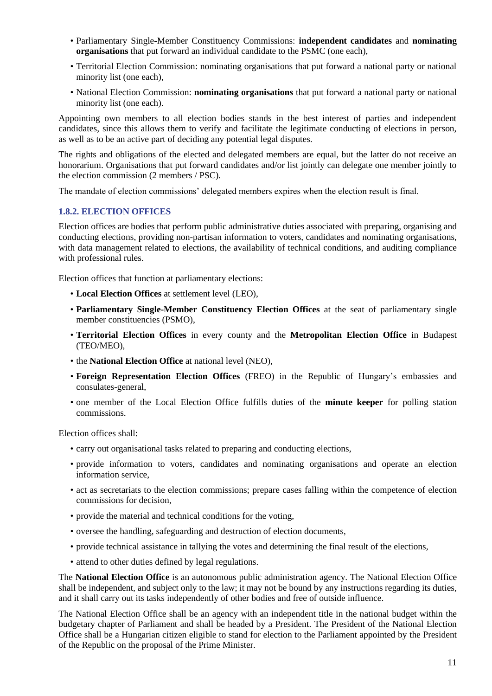- Parliamentary Single-Member Constituency Commissions: **independent candidates** and **nominating organisations** that put forward an individual candidate to the PSMC (one each),
- Territorial Election Commission: nominating organisations that put forward a national party or national minority list (one each),
- National Election Commission: **nominating organisations** that put forward a national party or national minority list (one each).

Appointing own members to all election bodies stands in the best interest of parties and independent candidates, since this allows them to verify and facilitate the legitimate conducting of elections in person, as well as to be an active part of deciding any potential legal disputes.

The rights and obligations of the elected and delegated members are equal, but the latter do not receive an honorarium. Organisations that put forward candidates and/or list jointly can delegate one member jointly to the election commission (2 members / PSC).

The mandate of election commissions' delegated members expires when the election result is final.

#### <span id="page-12-0"></span>**1.8.2. ELECTION OFFICES**

Election offices are bodies that perform public administrative duties associated with preparing, organising and conducting elections, providing non-partisan information to voters, candidates and nominating organisations, with data management related to elections, the availability of technical conditions, and auditing compliance with professional rules.

Election offices that function at parliamentary elections:

- **Local Election Offices** at settlement level (LEO),
- **Parliamentary Single-Member Constituency Election Offices** at the seat of parliamentary single member constituencies (PSMO),
- **Territorial Election Offices** in every county and the **Metropolitan Election Office** in Budapest (TEO/MEO),
- the **National Election Office** at national level (NEO),
- **Foreign Representation Election Offices** (FREO) in the Republic of Hungary's embassies and consulates-general,
- one member of the Local Election Office fulfills duties of the **minute keeper** for polling station commissions.

Election offices shall:

- carry out organisational tasks related to preparing and conducting elections,
- provide information to voters, candidates and nominating organisations and operate an election information service,
- act as secretariats to the election commissions; prepare cases falling within the competence of election commissions for decision,
- provide the material and technical conditions for the voting,
- oversee the handling, safeguarding and destruction of election documents,
- provide technical assistance in tallying the votes and determining the final result of the elections,
- attend to other duties defined by legal regulations.

The **National Election Office** is an autonomous public administration agency. The National Election Office shall be independent, and subject only to the law; it may not be bound by any instructions regarding its duties, and it shall carry out its tasks independently of other bodies and free of outside influence.

The National Election Office shall be an agency with an independent title in the national budget within the budgetary chapter of Parliament and shall be headed by a President. The President of the National Election Office shall be a Hungarian citizen eligible to stand for election to the Parliament appointed by the President of the Republic on the proposal of the Prime Minister.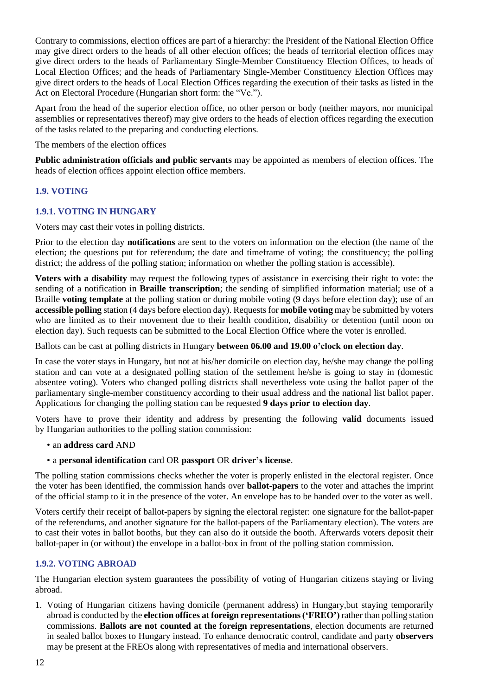Contrary to commissions, election offices are part of a hierarchy: the President of the National Election Office may give direct orders to the heads of all other election offices; the heads of territorial election offices may give direct orders to the heads of Parliamentary Single-Member Constituency Election Offices, to heads of Local Election Offices; and the heads of Parliamentary Single-Member Constituency Election Offices may give direct orders to the heads of Local Election Offices regarding the execution of their tasks as listed in the Act on Electoral Procedure (Hungarian short form: the "Ve.").

Apart from the head of the superior election office, no other person or body (neither mayors, nor municipal assemblies or representatives thereof) may give orders to the heads of election offices regarding the execution of the tasks related to the preparing and conducting elections.

The members of the election offices

**Public administration officials and public servants** may be appointed as members of election offices. The heads of election offices appoint election office members.

## <span id="page-13-0"></span>**1.9. VOTING**

## <span id="page-13-1"></span>**1.9.1. VOTING IN HUNGARY**

Voters may cast their votes in polling districts.

Prior to the election day **notifications** are sent to the voters on information on the election (the name of the election; the questions put for referendum; the date and timeframe of voting; the constituency; the polling district; the address of the polling station; information on whether the polling station is accessible).

**Voters with a disability** may request the following types of assistance in exercising their right to vote: the sending of a notification in **Braille transcription**; the sending of simplified information material; use of a Braille **voting template** at the polling station or during mobile voting (9 days before election day); use of an **accessible polling** station (4 days before election day). Requests for **mobile voting** may be submitted by voters who are limited as to their movement due to their health condition, disability or detention (until noon on election day). Such requests can be submitted to the Local Election Office where the voter is enrolled.

Ballots can be cast at polling districts in Hungary **between 06.00 and 19.00 o'clock on election day**.

In case the voter stays in Hungary, but not at his/her domicile on election day, he/she may change the polling station and can vote at a designated polling station of the settlement he/she is going to stay in (domestic absentee voting). Voters who changed polling districts shall nevertheless vote using the ballot paper of the parliamentary single-member constituency according to their usual address and the national list ballot paper. Applications for changing the polling station can be requested **9 days prior to election day**.

Voters have to prove their identity and address by presenting the following **valid** documents issued by Hungarian authorities to the polling station commission:

- an **address card** AND
- a **personal identification** card OR **passport** OR **driver's license**.

The polling station commissions checks whether the voter is properly enlisted in the electoral register. Once the voter has been identified, the commission hands over **ballot-papers** to the voter and attaches the imprint of the official stamp to it in the presence of the voter. An envelope has to be handed over to the voter as well.

Voters certify their receipt of ballot-papers by signing the electoral register: one signature for the ballot-paper of the referendums, and another signature for the ballot-papers of the Parliamentary election). The voters are to cast their votes in ballot booths, but they can also do it outside the booth. Afterwards voters deposit their ballot-paper in (or without) the envelope in a ballot-box in front of the polling station commission.

## <span id="page-13-2"></span>**1.9.2. VOTING ABROAD**

The Hungarian election system guarantees the possibility of voting of Hungarian citizens staying or living abroad.

1. Voting of Hungarian citizens having domicile (permanent address) in Hungary,but staying temporarily abroad is conducted by the **election offices at foreign representations('FREO')** rather than polling station commissions. **Ballots are not counted at the foreign representations**, election documents are returned in sealed ballot boxes to Hungary instead. To enhance democratic control, candidate and party **observers** may be present at the FREOs along with representatives of media and international observers.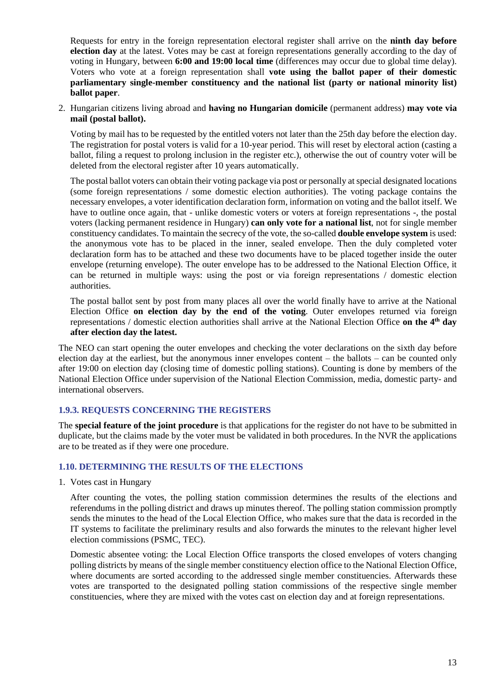Requests for entry in the foreign representation electoral register shall arrive on the **ninth day before election day** at the latest. Votes may be cast at foreign representations generally according to the day of voting in Hungary, between **6:00 and 19:00 local time** (differences may occur due to global time delay). Voters who vote at a foreign representation shall **vote using the ballot paper of their domestic parliamentary single-member constituency and the national list (party or national minority list) ballot paper**.

2. Hungarian citizens living abroad and **having no Hungarian domicile** (permanent address) **may vote via mail (postal ballot).**

Voting by mail has to be requested by the entitled voters not later than the 25th day before the election day. The registration for postal voters is valid for a 10-year period. This will reset by electoral action (casting a ballot, filing a request to prolong inclusion in the register etc.), otherwise the out of country voter will be deleted from the electoral register after 10 years automatically.

The postal ballot voters can obtain their voting package via post or personally at special designated locations (some foreign representations / some domestic election authorities). The voting package contains the necessary envelopes, a voter identification declaration form, information on voting and the ballot itself. We have to outline once again, that - unlike domestic voters or voters at foreign representations -, the postal voters (lacking permanent residence in Hungary) **can only vote for a national list**, not for single member constituency candidates. To maintain the secrecy of the vote, the so-called **double envelope system** is used: the anonymous vote has to be placed in the inner, sealed envelope. Then the duly completed voter declaration form has to be attached and these two documents have to be placed together inside the outer envelope (returning envelope). The outer envelope has to be addressed to the National Election Office, it can be returned in multiple ways: using the post or via foreign representations / domestic election authorities.

The postal ballot sent by post from many places all over the world finally have to arrive at the National Election Office **on election day by the end of the voting**. Outer envelopes returned via foreign representations / domestic election authorities shall arrive at the National Election Office **on the 4 th day after election day the latest.**

The NEO can start opening the outer envelopes and checking the voter declarations on the sixth day before election day at the earliest, but the anonymous inner envelopes content – the ballots – can be counted only after 19:00 on election day (closing time of domestic polling stations). Counting is done by members of the National Election Office under supervision of the National Election Commission, media, domestic party- and international observers.

## <span id="page-14-0"></span>**1.9.3. REQUESTS CONCERNING THE REGISTERS**

The **special feature of the joint procedure** is that applications for the register do not have to be submitted in duplicate, but the claims made by the voter must be validated in both procedures. In the NVR the applications are to be treated as if they were one procedure.

#### <span id="page-14-1"></span>**1.10. DETERMINING THE RESULTS OF THE ELECTIONS**

1. Votes cast in Hungary

After counting the votes, the polling station commission determines the results of the elections and referendums in the polling district and draws up minutes thereof. The polling station commission promptly sends the minutes to the head of the Local Election Office, who makes sure that the data is recorded in the IT systems to facilitate the preliminary results and also forwards the minutes to the relevant higher level election commissions (PSMC, TEC).

Domestic absentee voting: the Local Election Office transports the closed envelopes of voters changing polling districts by means of the single member constituency election office to the National Election Office, where documents are sorted according to the addressed single member constituencies. Afterwards these votes are transported to the designated polling station commissions of the respective single member constituencies, where they are mixed with the votes cast on election day and at foreign representations.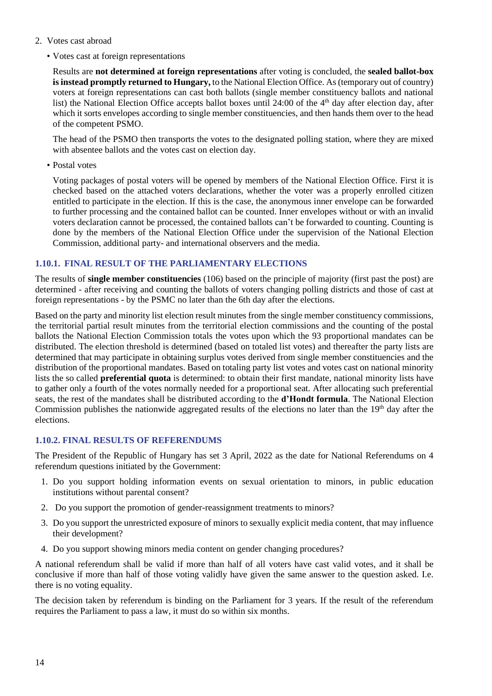- 2. Votes cast abroad
	- Votes cast at foreign representations

Results are **not determined at foreign representations** after voting is concluded, the **sealed ballot-box is instead promptly returned to Hungary,** to the National Election Office. As (temporary out of country) voters at foreign representations can cast both ballots (single member constituency ballots and national list) the National Election Office accepts ballot boxes until 24:00 of the 4<sup>th</sup> day after election day, after which it sorts envelopes according to single member constituencies, and then hands them over to the head of the competent PSMO.

The head of the PSMO then transports the votes to the designated polling station, where they are mixed with absentee ballots and the votes cast on election day.

• Postal votes

Voting packages of postal voters will be opened by members of the National Election Office. First it is checked based on the attached voters declarations, whether the voter was a properly enrolled citizen entitled to participate in the election. If this is the case, the anonymous inner envelope can be forwarded to further processing and the contained ballot can be counted. Inner envelopes without or with an invalid voters declaration cannot be processed, the contained ballots can't be forwarded to counting. Counting is done by the members of the National Election Office under the supervision of the National Election Commission, additional party- and international observers and the media.

## <span id="page-15-0"></span>**1.10.1. FINAL RESULT OF THE PARLIAMENTARY ELECTIONS**

The results of **single member constituencies** (106) based on the principle of majority (first past the post) are determined - after receiving and counting the ballots of voters changing polling districts and those of cast at foreign representations - by the PSMC no later than the 6th day after the elections.

Based on the party and minority list election result minutes from the single member constituency commissions, the territorial partial result minutes from the territorial election commissions and the counting of the postal ballots the National Election Commission totals the votes upon which the 93 proportional mandates can be distributed. The election threshold is determined (based on totaled list votes) and thereafter the party lists are determined that may participate in obtaining surplus votes derived from single member constituencies and the distribution of the proportional mandates. Based on totaling party list votes and votes cast on national minority lists the so called **preferential quota** is determined: to obtain their first mandate, national minority lists have to gather only a fourth of the votes normally needed for a proportional seat. After allocating such preferential seats, the rest of the mandates shall be distributed according to the **d'Hondt formula**. The National Election Commission publishes the nationwide aggregated results of the elections no later than the 19<sup>th</sup> day after the elections.

## <span id="page-15-1"></span>**1.10.2. FINAL RESULTS OF REFERENDUMS**

The President of the Republic of Hungary has set 3 April, 2022 as the date for National Referendums on 4 referendum questions initiated by the Government:

- 1. Do you support holding information events on sexual orientation to minors, in public education institutions without parental consent?
- 2. Do you support the promotion of gender-reassignment treatments to minors?
- 3. Do you support the unrestricted exposure of minors to sexually explicit media content, that may influence their development?
- 4. Do you support showing minors media content on gender changing procedures?

A national referendum shall be valid if more than half of all voters have cast valid votes, and it shall be conclusive if more than half of those voting validly have given the same answer to the question asked. I.e. there is no voting equality.

The decision taken by referendum is binding on the Parliament for 3 years. If the result of the referendum requires the Parliament to pass a law, it must do so within six months.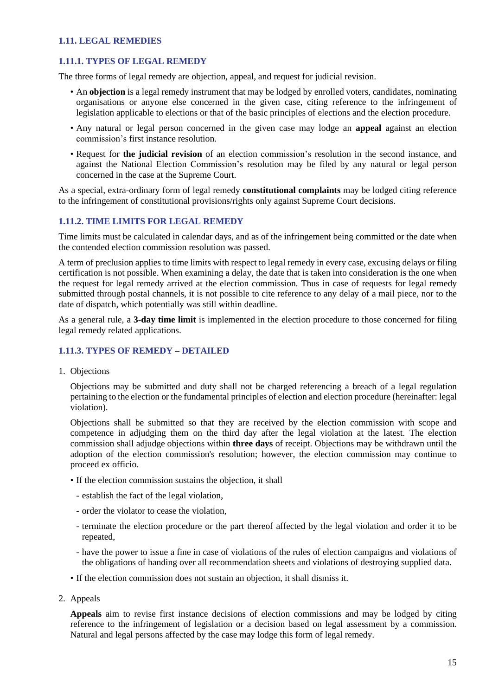#### <span id="page-16-0"></span>**1.11. LEGAL REMEDIES**

#### <span id="page-16-1"></span>**1.11.1. TYPES OF LEGAL REMEDY**

The three forms of legal remedy are objection, appeal, and request for judicial revision.

- An **objection** is a legal remedy instrument that may be lodged by enrolled voters, candidates, nominating organisations or anyone else concerned in the given case, citing reference to the infringement of legislation applicable to elections or that of the basic principles of elections and the election procedure.
- Any natural or legal person concerned in the given case may lodge an **appeal** against an election commission's first instance resolution.
- Request for **the judicial revision** of an election commission's resolution in the second instance, and against the National Election Commission's resolution may be filed by any natural or legal person concerned in the case at the Supreme Court.

As a special, extra-ordinary form of legal remedy **constitutional complaints** may be lodged citing reference to the infringement of constitutional provisions/rights only against Supreme Court decisions.

#### <span id="page-16-2"></span>**1.11.2. TIME LIMITS FOR LEGAL REMEDY**

Time limits must be calculated in calendar days, and as of the infringement being committed or the date when the contended election commission resolution was passed.

A term of preclusion applies to time limits with respect to legal remedy in every case, excusing delays or filing certification is not possible. When examining a delay, the date that is taken into consideration is the one when the request for legal remedy arrived at the election commission. Thus in case of requests for legal remedy submitted through postal channels, it is not possible to cite reference to any delay of a mail piece, nor to the date of dispatch, which potentially was still within deadline.

As a general rule, a **3-day time limit** is implemented in the election procedure to those concerned for filing legal remedy related applications.

#### <span id="page-16-3"></span>**1.11.3. TYPES OF REMEDY – DETAILED**

1. Objections

Objections may be submitted and duty shall not be charged referencing a breach of a legal regulation pertaining to the election or the fundamental principles of election and election procedure (hereinafter: legal violation).

Objections shall be submitted so that they are received by the election commission with scope and competence in adjudging them on the third day after the legal violation at the latest. The election commission shall adjudge objections within **three days** of receipt. Objections may be withdrawn until the adoption of the election commission's resolution; however, the election commission may continue to proceed ex officio.

- If the election commission sustains the objection, it shall
- establish the fact of the legal violation,
- order the violator to cease the violation,
- terminate the election procedure or the part thereof affected by the legal violation and order it to be repeated,
- have the power to issue a fine in case of violations of the rules of election campaigns and violations of the obligations of handing over all recommendation sheets and violations of destroying supplied data.
- If the election commission does not sustain an objection, it shall dismiss it.
- 2. Appeals

**Appeals** aim to revise first instance decisions of election commissions and may be lodged by citing reference to the infringement of legislation or a decision based on legal assessment by a commission. Natural and legal persons affected by the case may lodge this form of legal remedy.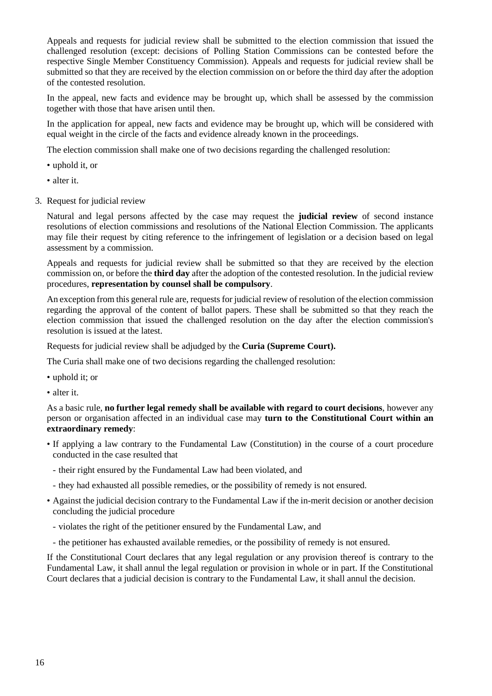Appeals and requests for judicial review shall be submitted to the election commission that issued the challenged resolution (except: decisions of Polling Station Commissions can be contested before the respective Single Member Constituency Commission). Appeals and requests for judicial review shall be submitted so that they are received by the election commission on or before the third day after the adoption of the contested resolution.

In the appeal, new facts and evidence may be brought up, which shall be assessed by the commission together with those that have arisen until then.

In the application for appeal, new facts and evidence may be brought up, which will be considered with equal weight in the circle of the facts and evidence already known in the proceedings.

The election commission shall make one of two decisions regarding the challenged resolution:

- uphold it, or
- alter it.
- 3. Request for judicial review

Natural and legal persons affected by the case may request the **judicial review** of second instance resolutions of election commissions and resolutions of the National Election Commission. The applicants may file their request by citing reference to the infringement of legislation or a decision based on legal assessment by a commission.

Appeals and requests for judicial review shall be submitted so that they are received by the election commission on, or before the **third day** after the adoption of the contested resolution. In the judicial review procedures, **representation by counsel shall be compulsory**.

An exception from this general rule are, requests for judicial review of resolution of the election commission regarding the approval of the content of ballot papers. These shall be submitted so that they reach the election commission that issued the challenged resolution on the day after the election commission's resolution is issued at the latest.

Requests for judicial review shall be adjudged by the **Curia (Supreme Court).**

The Curia shall make one of two decisions regarding the challenged resolution:

- uphold it; or
- alter it.

As a basic rule, **no further legal remedy shall be available with regard to court decisions**, however any person or organisation affected in an individual case may **turn to the Constitutional Court within an extraordinary remedy**:

- If applying a law contrary to the Fundamental Law (Constitution) in the course of a court procedure conducted in the case resulted that
	- their right ensured by the Fundamental Law had been violated, and
	- they had exhausted all possible remedies, or the possibility of remedy is not ensured.
- Against the judicial decision contrary to the Fundamental Law if the in-merit decision or another decision concluding the judicial procedure
	- violates the right of the petitioner ensured by the Fundamental Law, and
	- the petitioner has exhausted available remedies, or the possibility of remedy is not ensured.

If the Constitutional Court declares that any legal regulation or any provision thereof is contrary to the Fundamental Law, it shall annul the legal regulation or provision in whole or in part. If the Constitutional Court declares that a judicial decision is contrary to the Fundamental Law, it shall annul the decision.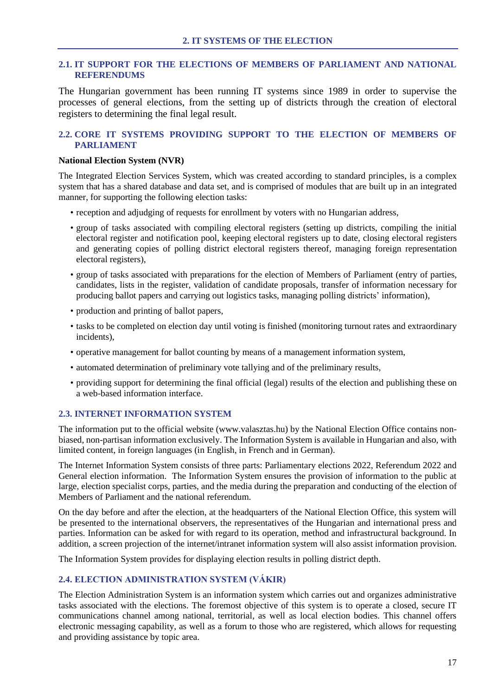#### <span id="page-18-1"></span><span id="page-18-0"></span>**2.1. IT SUPPORT FOR THE ELECTIONS OF MEMBERS OF PARLIAMENT AND NATIONAL REFERENDUMS**

The Hungarian government has been running IT systems since 1989 in order to supervise the processes of general elections, from the setting up of districts through the creation of electoral registers to determining the final legal result.

## <span id="page-18-2"></span>**2.2. CORE IT SYSTEMS PROVIDING SUPPORT TO THE ELECTION OF MEMBERS OF PARLIAMENT**

#### **National Election System (NVR)**

The Integrated Election Services System, which was created according to standard principles, is a complex system that has a shared database and data set, and is comprised of modules that are built up in an integrated manner, for supporting the following election tasks:

- reception and adjudging of requests for enrollment by voters with no Hungarian address,
- group of tasks associated with compiling electoral registers (setting up districts, compiling the initial electoral register and notification pool, keeping electoral registers up to date, closing electoral registers and generating copies of polling district electoral registers thereof, managing foreign representation electoral registers),
- group of tasks associated with preparations for the election of Members of Parliament (entry of parties, candidates, lists in the register, validation of candidate proposals, transfer of information necessary for producing ballot papers and carrying out logistics tasks, managing polling districts' information),
- production and printing of ballot papers,
- tasks to be completed on election day until voting is finished (monitoring turnout rates and extraordinary incidents),
- operative management for ballot counting by means of a management information system,
- automated determination of preliminary vote tallying and of the preliminary results,
- providing support for determining the final official (legal) results of the election and publishing these on a web-based information interface.

#### <span id="page-18-3"></span>**2.3. INTERNET INFORMATION SYSTEM**

The information put to the official website (www.valasztas.hu) by the National Election Office contains nonbiased, non-partisan information exclusively. The Information System is available in Hungarian and also, with limited content, in foreign languages (in English, in French and in German).

The Internet Information System consists of three parts: Parliamentary elections 2022, Referendum 2022 and General election information. The Information System ensures the provision of information to the public at large, election specialist corps, parties, and the media during the preparation and conducting of the election of Members of Parliament and the national referendum.

On the day before and after the election, at the headquarters of the National Election Office, this system will be presented to the international observers, the representatives of the Hungarian and international press and parties. Information can be asked for with regard to its operation, method and infrastructural background. In addition, a screen projection of the internet/intranet information system will also assist information provision.

The Information System provides for displaying election results in polling district depth.

## <span id="page-18-4"></span>**2.4. ELECTION ADMINISTRATION SYSTEM (VÁKIR)**

The Election Administration System is an information system which carries out and organizes administrative tasks associated with the elections. The foremost objective of this system is to operate a closed, secure IT communications channel among national, territorial, as well as local election bodies. This channel offers electronic messaging capability, as well as a forum to those who are registered, which allows for requesting and providing assistance by topic area.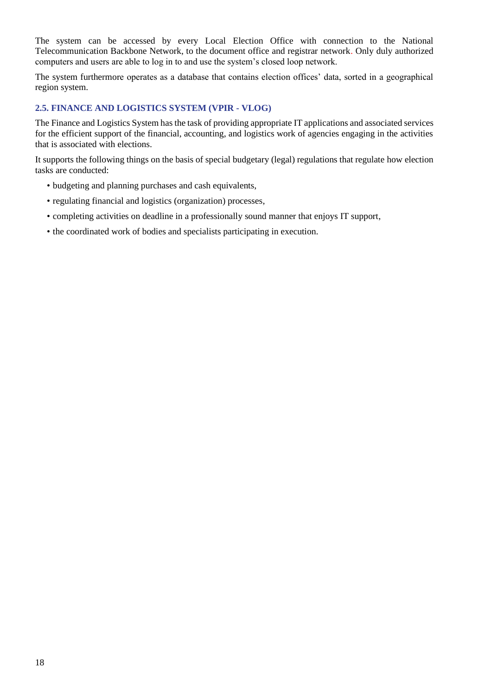The system can be accessed by every Local Election Office with connection to the National Telecommunication Backbone Network, to the document office and registrar network. Only duly authorized computers and users are able to log in to and use the system's closed loop network.

The system furthermore operates as a database that contains election offices' data, sorted in a geographical region system.

## <span id="page-19-0"></span>**2.5. FINANCE AND LOGISTICS SYSTEM (VPIR - VLOG)**

The Finance and Logistics System has the task of providing appropriate IT applications and associated services for the efficient support of the financial, accounting, and logistics work of agencies engaging in the activities that is associated with elections.

It supports the following things on the basis of special budgetary (legal) regulations that regulate how election tasks are conducted:

- budgeting and planning purchases and cash equivalents,
- regulating financial and logistics (organization) processes,
- completing activities on deadline in a professionally sound manner that enjoys IT support,
- the coordinated work of bodies and specialists participating in execution.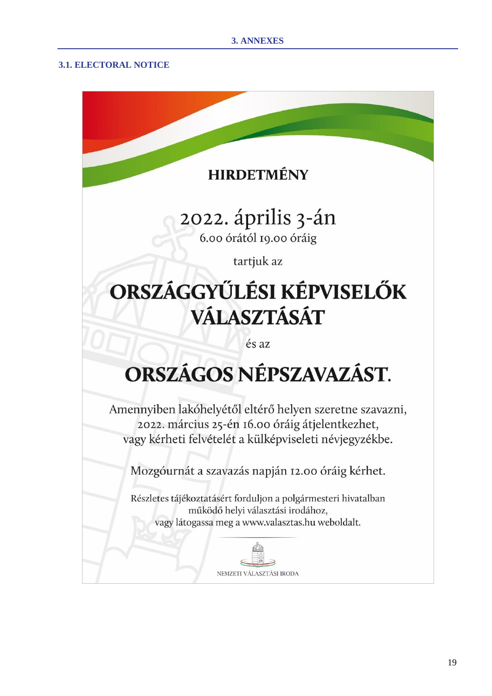## <span id="page-20-1"></span><span id="page-20-0"></span>**3.1. ELECTORAL NOTICE**



2022. április 3-án 6.00 órától 19.00 óráig

tartjuk az

# ORSZÁGGYŰLÉSI KÉPVISELŐK VÁLASZTÁSÁT

és az

# ORSZÁGOS NÉPSZAVAZÁST.

Amennyiben lakóhelyétől eltérő helyen szeretne szavazni, 2022. március 25-én 16.00 óráig átjelentkezhet, vagy kérheti felvételét a külképviseleti névjegyzékbe.

Mozgóurnát a szavazás napján 12.00 óráig kérhet.

Részletes tájékoztatásért forduljon a polgármesteri hivatalban működő helyi választási irodához, vagy látogassa meg a www.valasztas.hu weboldalt.

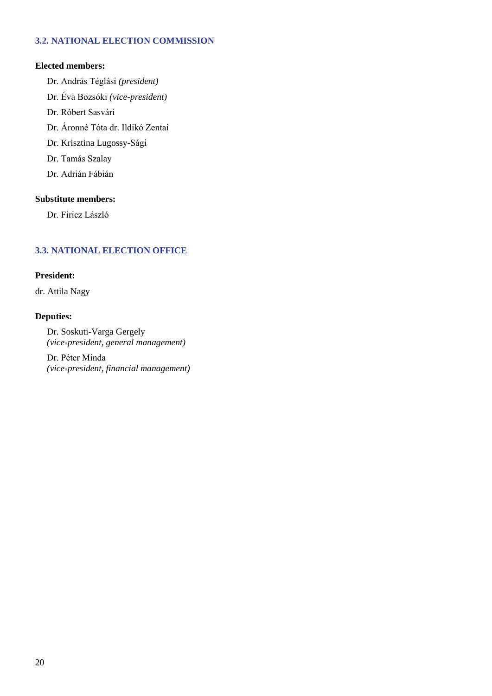## <span id="page-21-0"></span>**3.2. NATIONAL ELECTION COMMISSION**

#### **Elected members:**

- Dr. András Téglási *(president)*
- Dr. Éva Bozsóki *(vice-president)*
- Dr. Róbert Sasvári
- Dr. Áronné Tóta dr. Ildikó Zentai
- Dr. Krisztina Lugossy-Sági
- Dr. Tamás Szalay
- Dr. Adrián Fábián

## **Substitute members:**

Dr. Firicz László

## <span id="page-21-1"></span>**3.3. NATIONAL ELECTION OFFICE**

## **President:**

dr. Attila Nagy

#### **Deputies:**

Dr. Soskuti-Varga Gergely *(vice-president, general management)*

Dr. Péter Minda *(vice-president, financial management)*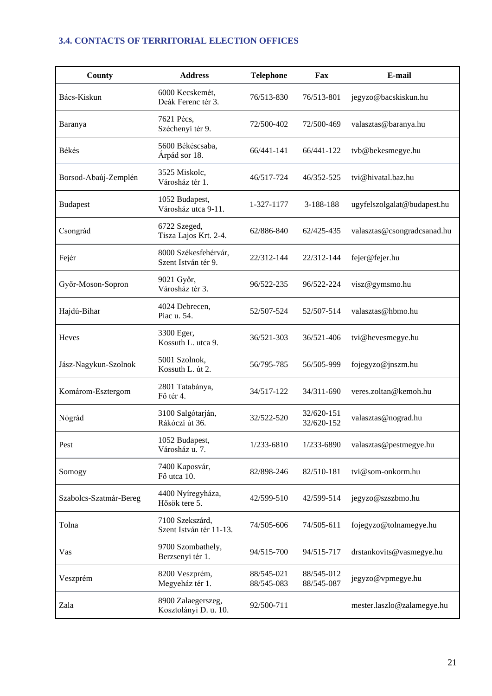## <span id="page-22-0"></span>**3.4. CONTACTS OF TERRITORIAL ELECTION OFFICES**

| <b>County</b>          | <b>Address</b>                              | <b>Telephone</b>         | Fax                      | E-mail                      |
|------------------------|---------------------------------------------|--------------------------|--------------------------|-----------------------------|
| Bács-Kiskun            | 6000 Kecskemét,<br>Deák Ferenc tér 3.       | 76/513-830               | 76/513-801               | jegyzo@bacskiskun.hu        |
| Baranya                | 7621 Pécs,<br>Széchenyi tér 9.              | 72/500-402               | 72/500-469               | valasztas@baranya.hu        |
| Békés                  | 5600 Békéscsaba,<br>Árpád sor 18.           | 66/441-141               | 66/441-122               | tvb@bekesmegye.hu           |
| Borsod-Abaúj-Zemplén   | 3525 Miskolc,<br>Városház tér 1.            | 46/517-724               | 46/352-525               | tvi@hivatal.baz.hu          |
| <b>Budapest</b>        | 1052 Budapest,<br>Városház utca 9-11.       | 1-327-1177               | 3-188-188                | ugyfelszolgalat@budapest.hu |
| Csongrád               | 6722 Szeged,<br>Tisza Lajos Krt. 2-4.       | 62/886-840               | 62/425-435               | valasztas@csongradcsanad.hu |
| Fejér                  | 8000 Székesfehérvár,<br>Szent István tér 9. | 22/312-144               | 22/312-144               | fejer@fejer.hu              |
| Győr-Moson-Sopron      | 9021 Győr,<br>Városház tér 3.               | 96/522-235               | 96/522-224               | visz@gymsmo.hu              |
| Hajdú-Bihar            | 4024 Debrecen,<br>Piac u. 54.               | 52/507-524               | 52/507-514               | valasztas@hbmo.hu           |
| Heves                  | 3300 Eger,<br>Kossuth L. utca 9.            | 36/521-303               | 36/521-406               | tvi@hevesmegye.hu           |
| Jász-Nagykun-Szolnok   | 5001 Szolnok,<br>Kossuth L. út 2.           | 56/795-785               | 56/505-999               | fojegyzo@jnszm.hu           |
| Komárom-Esztergom      | 2801 Tatabánya,<br>Fő tér 4.                | 34/517-122               | 34/311-690               | veres.zoltan@kemoh.hu       |
| Nógrád                 | 3100 Salgótarján,<br>Rákóczi út 36.         | 32/522-520               | 32/620-151<br>32/620-152 | valasztas@nograd.hu         |
| Pest                   | 1052 Budapest,<br>Városház u. 7.            | 1/233-6810               | 1/233-6890               | valasztas@pestmegye.hu      |
| Somogy                 | 7400 Kaposvár,<br>Fő utca 10.               | 82/898-246               | 82/510-181               | tvi@som-onkorm.hu           |
| Szabolcs-Szatmár-Bereg | 4400 Nyíregyháza,<br>Hősök tere 5.          | 42/599-510               | 42/599-514               | jegyzo@szszbmo.hu           |
| Tolna                  | 7100 Szekszárd,<br>Szent István tér 11-13.  | 74/505-606               | 74/505-611               | fojegyzo@tolnamegye.hu      |
| Vas                    | 9700 Szombathely,<br>Berzsenyi tér 1.       | 94/515-700               | 94/515-717               | drstankovits@vasmegye.hu    |
| Veszprém               | 8200 Veszprém,<br>Megyeház tér 1.           | 88/545-021<br>88/545-083 | 88/545-012<br>88/545-087 | jegyzo@vpmegye.hu           |
| Zala                   | 8900 Zalaegerszeg,<br>Kosztolányi D. u. 10. | 92/500-711               |                          | mester.laszlo@zalamegye.hu  |